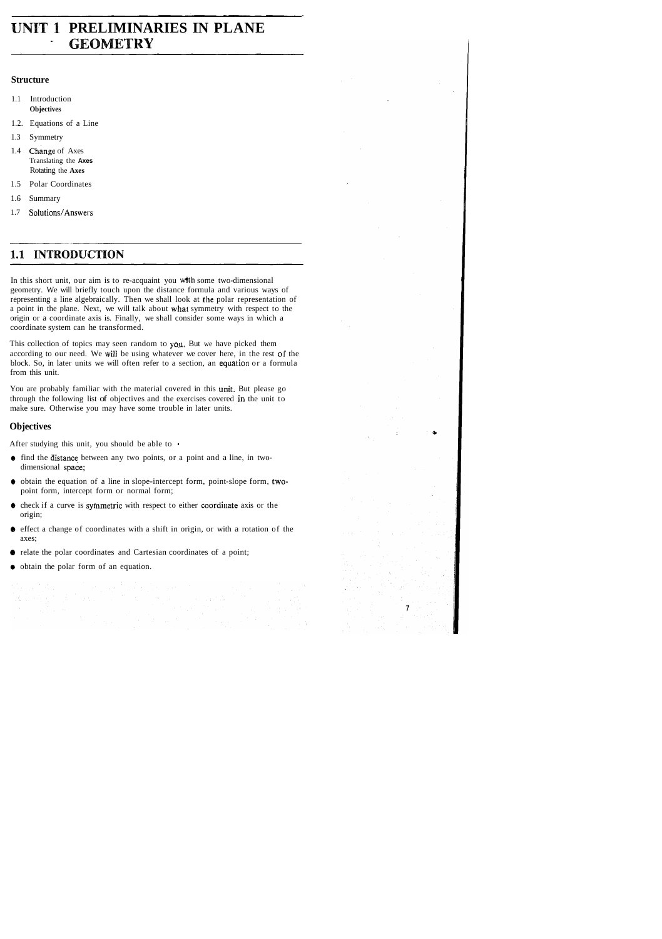# **UNIT 1 PRELIMINARIES IN PLANE** ' **GEOMETRY**

#### **Structure**

- 1.1 Introduction **Objectives**
- 1.2. Equations of a Line
- 1.3 Symmetry
- 1.4 change of Axes Translating the **Axes**  Rotating the **Axes**
- 1.5 Polar Coordinates
- 1.6 Summary
- 1.7 Solutions/Answers

## 1.1 INTRODUCTION

In this short unit, our aim is to re-acquaint you wfth some two-dimensional geometry. We will briefly touch upon the distance formula and various ways of representing a line algebraically. Then we shall look at the polar representation of a point in the plane. Next, we will talk about what symmetry with respect to the origin or a coordinate axis is. Finally, we shall consider some ways in which a coordinate system can he transformed.

This collection of topics may seen random to you. But we have picked them according to our need. We will be using whatever we cover here, in the rest of the block. So, in later units we will often refer to a section, an equation or a formula from this unit.

You are probably familiar with the material covered in this unit. But please go through the following list of objectives and the exercises covered in the unit to make sure. Otherwise you may have some trouble in later units.

### **Objectives**

After studying this unit, you should be able to

- $\bullet$  find the distance between any two points, or a point and a line, in twodimensional space;
- @ obtain the equation of a line in slope-intercept form, point-slope form, twopoint form, intercept form or normal form;
- @ check if a curve is syfnmetric with respect to either coordiiiate axis or the origin;
- @ effect a change of coordinates with a shift in origin, or with a rotation of the axes;
- @ relate the polar coordinates and Cartesian coordinates of a point;
- $\bullet$  obtain the polar form of an equation.

i sa kacamatan  $\sim 10$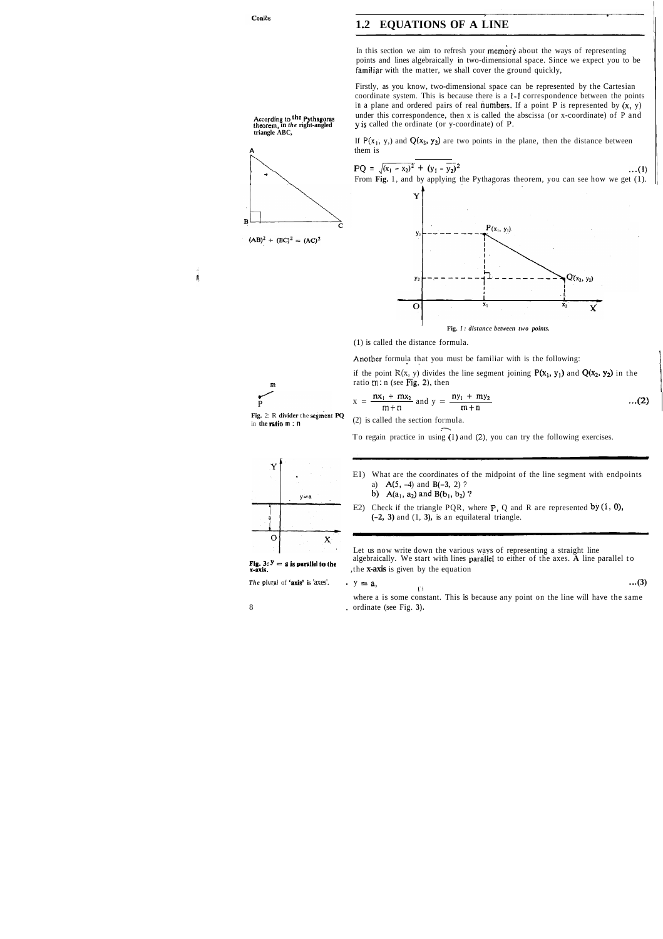## **1.2 EQUATIONS OF A LINE**

In this section we aim to refresh your memory about the ways of representing points and lines algebraically in two-dimensional space. Since we expect you to be familiar with the matter, we shall cover the ground quickly,

Firstly, as you know, two-dimensional space can be represented by the Cartesian coordinate system. This is because there is a **1-1** correspondence between the points in a plane and ordered pairs of real numbers. If a point P is represented by  $(x, y)$ According to the Pythagoras under this correspondence, then x is called the abscissa (or x-coordinate) of P and theorem, in the right-angled y is called the ordinate (or y-coordinate) of P. *theorem,* **in** *the* **right-angled y** is called the ordinate (or y-coordinate) of P.

> If  $P(x_1, y_1)$  and  $Q(x_2, y_2)$  are two points in the plane, then the distance between them is

**triangle ABC,** 

 $(AB)^2 + (BC)^2 = (AC)^2$ 

B

Ń

- b)  $A(a_1, a_2)$  and  $B(b_1, b_2)$  ?
- E2) Check if the triangle PQR, where  $P$ , Q and R are represented by  $(1, 0)$ , **(-2, 3)** and (1, **3),** is an equilateral triangle.





(1) is called the distance formula.

Another formula that you must be familiar with is the following:

if the point  $R(x, y)$  divides the line segment joining  $P(x_1, y_1)$  and  $Q(x_2, y_2)$  in the **ratio m:** n (see Fig. 2), then

**Fig.** 2: R **divider** the **segment PQ**  in **the ratio <sup>m</sup>**: **<sup>n</sup>**

(2) is called the section formula.

$$
x = \frac{nx_1 + mx_2}{m+n} \text{ and } y = \frac{ny_1 + my_2}{m+n} \qquad ...(2)
$$

To regain practice in using (1) and (2), you can try the following exercises.



*The plural of 'axis' is 'axes'.* 

El) What are the coordinates of the midpoint of the line segment with endpoints a) A(5, -4) and **B(-3,** 2) ?

Let us now write down the various ways of representing a straight line **Fig. 3:**  $\mathbf{y} = \mathbf{a}$  is parallel to the axes. A line parallel to the **x**-axis is given by the equation **x-axis.** ,the **x-axis** is given by the equation

$$
y = a, \tag{3}
$$

where a is some constant. This is because any point on the line will have the same <sup>8</sup>, ordinate (see Fig. **3).** 

Conics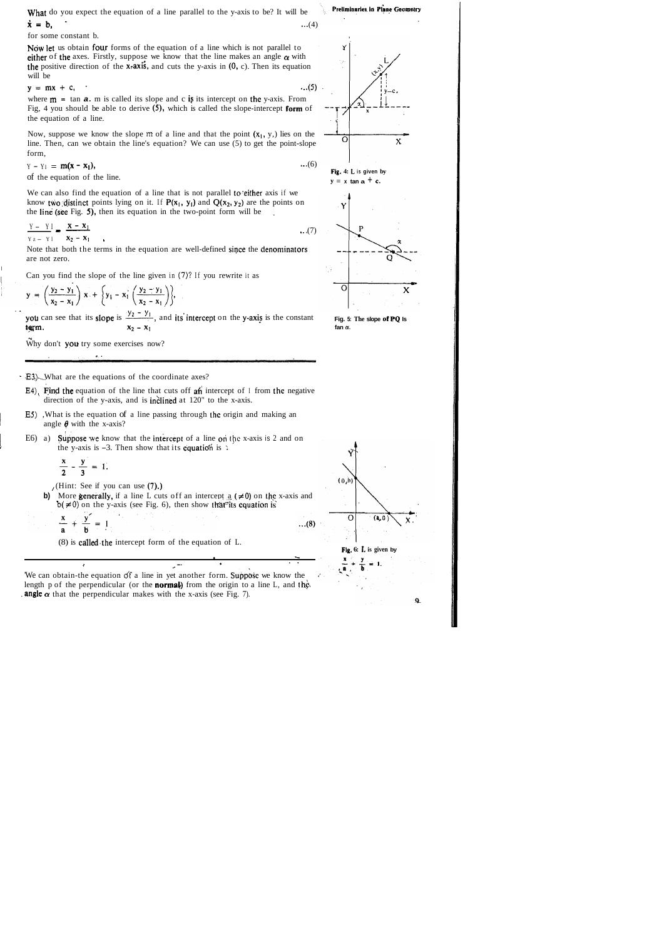What do you expect the equation of a line parallel to the y-axis to be? It will be  $\dot{x} = b$ , ...(4)

for some constant b.

Now let us obtain four forms of the equation of a line which is not parallel to either of the axes. Firstly, suppose we know that the line makes an angle  $\alpha$  with the positive direction of the  $x$ -axis, and cuts the y-axis in  $(0, c)$ . Then its equation will be

where  $m = \tan a$ . m is called its slope and c is its intercept on the y-axis. From Fig, 4 you should be able to derive (5), which is called the slope-intercept form of the equation of a line.

Now, suppose we know the slope  $m$  of a line and that the point  $(x_1, y_1)$  lies on the line. Then, can we obtain the line's equation? We can use (5) to get the point-slope form,

$$
y = mx + c, \qquad \qquad ...(5)
$$

Note that both the terms in the equation are well-defined since the denominators are not zero.

Can you find the slope of the line given in (7)? If you rewrite it as

$$
y = \left(\frac{y_2 - y_1}{x_2 - x_1}\right) x + \left\{y_1 - x_1 \left(\frac{y_2 - y_1}{x_2 - x_1}\right)\right\},
$$

. . y =  $\left(\frac{y_2 - y_1}{x_2 - x_1}\right)$  x +  $\left\{y_1 - x_1 \left(\frac{y_2 - y_1}{x_2 - x_1}\right)\right\}$ ,<br>you can see that its slope is  $\frac{y_2 - y_1}{x_2 - x_1}$ , and its intercept on the y-axis is the constant earm.

Why don't you try some exercises now?

$$
Y - YI = m(x - x_1),
$$
...(6)  
of the equation of the line

of the equation of the line.

We can also find the equation of a line that is not parallel to either axis if we know two distinct points lying on it. If  $P(x_1, y_1)$  and  $Q(x_2, y_2)$  are the points on the line (see Fig. 5), then its equation in the two-point form will be

$$
\frac{Y - YI}{Yz - YI} = \frac{\mathbf{x} - \mathbf{x}_1}{\mathbf{x}_2 - \mathbf{x}_1} \qquad \qquad ...(7)
$$

**Fig. 5: The slope of PQ Is**  fan  $\alpha$ .

I

**. E3)**. What are the equations of the coordinate axes?

- E4). Find the equation of the line that cuts off an intercept of I from the negative direction of the y-axis, and is **inclined** at 120" to the x-axis.
- <sup>I</sup>**E5)** ,What is the equation of a line passing through thc origin and making an angle  $\theta$  with the x-axis?
- 1 E6) a) pose **we** know that the intercept of a line ori **the** x-axis is 2 and on the y-axis is  $-3$ . Then show that its **equation** is :

$$
\frac{x}{2} - \frac{y}{3} = 1
$$

(Hint: See if you can use  $(7)$ .)

 $\mathcal{A}^{\mathcal{A}}$ 

**b)** More generally, if a line L cuts off an intercept a  $(\neq 0)$  on the x-axis and  $b(0, \neq 0)$  on the y-axis (see Fig. 6), then show that<sup>st</sup>its equation is

**<sup>c</sup>**.

.-

 $...(8)$ 

. . *I* 

$$
\frac{x}{a} + \frac{y'}{b} = 1
$$

(8) is called the intercept form of the equation of  $L$ .

'We can obtain-the equation of a line in yet another form. Suppose we know the length p of the perpendicular (or the **normal**) from the origin to a line L, and the **angle**  $\alpha$  that the perpendicular makes with the x-axis (see Fig. 7).

**,b** --



**FIg. 4: L is given by <sup>Y</sup>**= **x tan a** + **e.** 



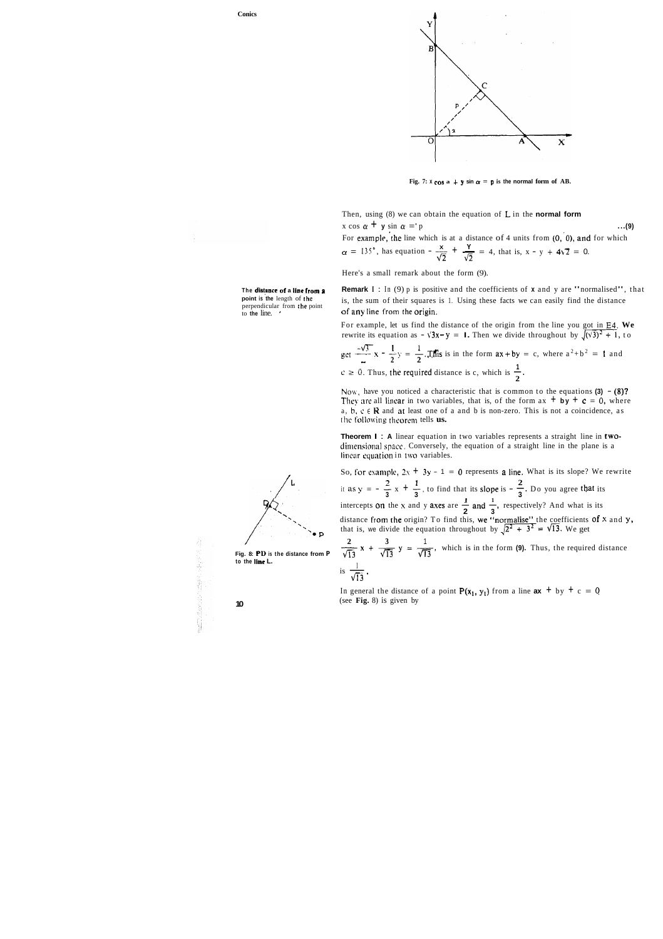

**Fig. 7:**  $x \cos a + y \sin a = p$  is the normal form of AB.

Then, using (8) we can obtain the equation of L in the **normal form**   $x \cos \alpha + y \sin \alpha =' p$  ...(9)

For example, the line which is at a distance of 4 units from  $(0, 0)$ , and for which  $\alpha = 135^{\circ}$ , has equation  $-\frac{x}{\sqrt{2}} + \frac{y}{\sqrt{2}} = 4$ , that is,  $x - y + 4\sqrt{2} = 0$ .

**The distance of a line from a** Remark  $I : In (9)$  p is positive and the coefficients of **x** and y are "normalised", that point is the length of the  $\frac{1}{100}$  is the sum of their squares is 1. Heing these facts we can easi **point is the length of the islaming is, the sum of their squares is 1. Using these facts we can easily find the distance perpendicular from the point** perpendicular from **rhe** point of any line from the origin. to **the** line. '

For example, let us find the distance of the origin from the line you got in **E4. We**  rewrite its equation as  $-\sqrt{3x-y} = 1$ . Then we divide throughout by  $\sqrt{(\sqrt{3})^2 + 1}$ , to

Here's a small remark about the form (9).

**Theorem I** : **A** linear equation in two variables represents a straight line in twodimensional space. Conversely, the equation of a straight line in the plane is a linear equation in two variables.

So, for example,  $2x + 3y - 1 = 0$  represents a line. What is its slope? We rewrite *2* 1 **2**  So, for example,  $2x + 3y - 1 = 0$  represents **a** line. What is its slope? We are it as  $y = -\frac{2}{3}x + \frac{1}{3}$ , to find that its slope is  $-\frac{2}{3}$ . Do you agree that its **1 1**  it as  $y = -\frac{2}{3}x + \frac{1}{3}$ , to find that its slope is  $-\frac{2}{3}$ . Do you agree that its intercepts on the x and y axes are  $\frac{1}{2}$  and  $\frac{1}{3}$ , respectively? And what is its distance from the origin? To find this, we "normalise" the coefficients of **x** and **y**, that is, we divide the equation throughout by  $\sqrt{2^2 + 3^2} = \sqrt{13}$ . We get intercepts<br>distance fr<br>that is, we<br> $\frac{2}{\sqrt{13}}$  x +

 $\frac{2}{13}$  **x** +  $\frac{3}{\sqrt{13}}$  **y** =  $\frac{1}{\sqrt{13}}$ , which is in the form **(9).** Thus, the required distance **that is, we d**<br>
Fig. 8: PD is the distance from P  $\frac{2}{\sqrt{13}}x + \frac{1}{\sqrt{13}}$ <br>
to the line L.<br>  $\frac{1}{\sqrt{13}}$ . is  $\frac{1}{\sqrt{13}}$ .

get 
$$
\frac{-\sqrt{3}}{2}x - \frac{1}{2}y = \frac{1}{2}
$$
. $\sqrt{3}$  is in the form  $ax + by = c$ , where  $a^2 + b^2 = 1$  and  $c \ge 0$ . Thus, the required distance is c, which is  $\frac{1}{2}$ .

Now, have you noticed a characteristic that is common to the equations  $(3) - (8)$ ? They are all linear in two variables, that is, of the form  $ax + by + c = 0$ , where a,  $b, c \in \mathbb{R}$  and at least one of a and b is non-zero. This is not a coincidence, as the following theorem tells us.

In general the distance of a point  $P(x_1, y_1)$  from a line  $ax + by + c = 0$ **10** (see **Fig.** 8) is given by

**P** 

/

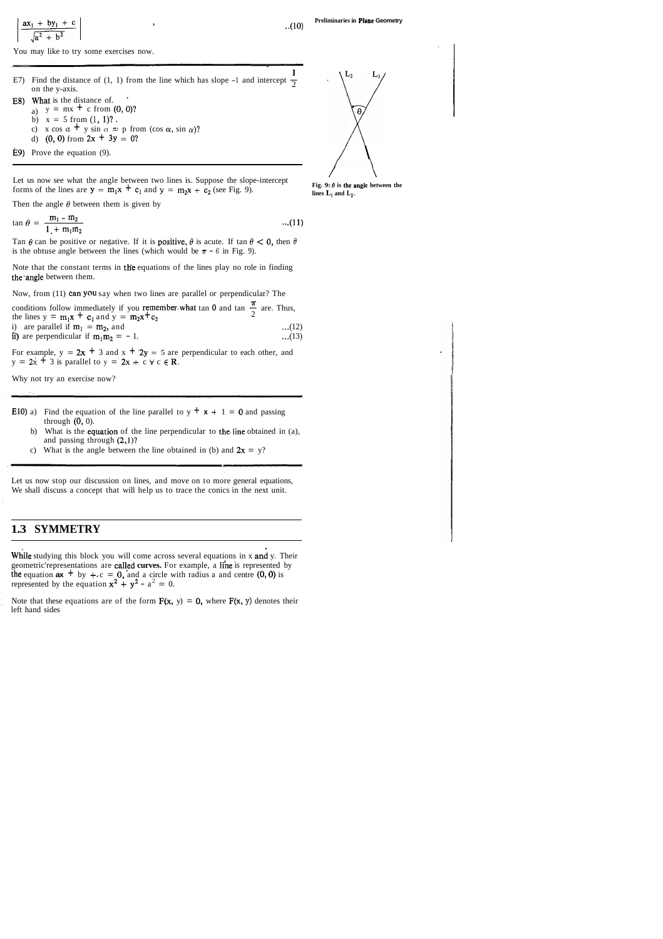$$
\frac{ax_1 + by_1 + c}{\sqrt{a^2 + b^2}}
$$

You may like to try some exercises now.

- **1**  E7) Find the distance of (1, 1) from the line which has slope -1 and intercept  $\frac{1}{2}$  on the y-axis.
- E8) What is the distance of. a)  $y = mx + c$  from  $(0, 0)$ ?
	- b)  $x = 5$  from  $(1, 1)$ ?.
	- c) x cos  $\alpha$  + y sin  $\alpha$  = p from (cos  $\alpha$ , sin  $\alpha$ )?
	- d) (0, 0) from  $2x + 3y = 0$ ?
- 

Let us now see what the angle between two lines is. Suppose the slope-intercept  $\overrightarrow{F}$   $\overrightarrow{B}$ ,  $\theta$  is the angle between the forms of the lines are  $y = m_1x + c_1$  and  $y = m_2x + c_2$  (see Fig. 9). **lines L<sub>1</sub>** and  $L_2$ .

Then the angle  $\theta$  between them is given by

 $\tan \theta = \frac{m_1 - m_2}{1 - m_1 m_2}$  ...(11)  $1 + m_1m_2$ 

Tan  $\theta$  can be positive or negative. If it is **positive,**  $\theta$  is acute. If tan  $\theta < 0$ , then  $\theta$ is the obtuse angle between the lines (which would be  $\pi - 6$  in Fig. 9).

Note that the constant terms in the equations of the lines play no role in finding the angle between them.

Now, from (11) can you say when two lines are parallel or perpendicular? The

conditions follow immediately if you remember what tan 0 and tan  $\frac{\pi}{2}$  are. Thus, the lines  $y = m_1x + c_1$  and  $y = m_2x + c_2$ i) are parallel if  $m_1 = m_2$ , and ...(12)

ii) are perpendicular if  $m_1m_2 = -1$ . ...(13)

For example,  $y = 2x + 3$  and  $x + 2y = 5$  are perpendicular to each other, and  $y = 2x + 3$  is parallel to  $y = 2x + c \forall c \in \mathbb{R}$ .

**Preliminaries in Plane Geometry** .,(lo)



Note that these equations are of the form  $F(x, y) = 0$ , where  $F(x, y)$  denotes their left hand sides

Why not try an exercise now?

- E10) a) Find the equation of the line parallel to  $y + x + 1 = 0$  and passing through (0, 0).
	- b) What is the **equation** of the line perpendicular to the line obtained in (a), and passing through  $(2,1)$ ?
	- c) What is the angle between the line obtained in (b) and  $2x = y$ ?

Let us now stop our discussion on lines, and move on to more general equations, We shall discuss a concept that will help us to trace the conics in the next unit.

## **1.3 SYMMETRY**

While studying this block you will come across several equations in x and y. Their geometric'representations are called curves. For example, a line is represented by the equation  $ax + by + c = 0$ , and a circle with radius a and centre (0, 0) is represented by the equation  $x^2 + y^2 - a^2 = 0$ .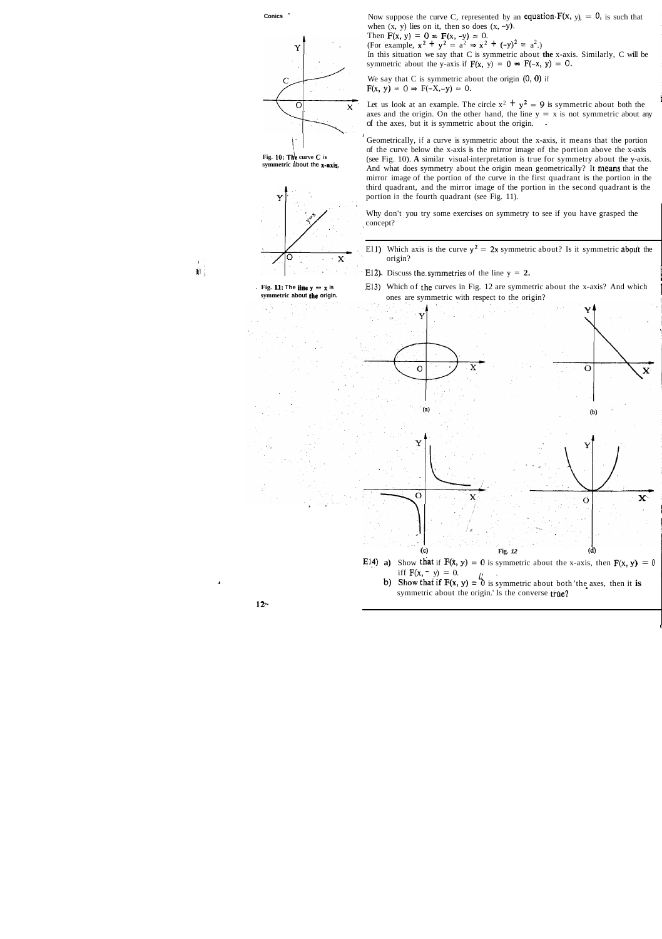In this situation we say that C is symmetric about **the** x-axis. Similarly, C will be symmetric about the y-axis if  $F(x, y) = 0 \Rightarrow F(-x, y) = 0$ .

We say that  $C$  is symmetric about the origin  $(0, 0)$  if  $F(x, y) = 0 \Rightarrow F(-X, -y) = 0.$ 

Let us look at an example. The circle  $x^2 + y^2 = 9$  is symmetric about both the axes and the origin. On the other hand, the line  $y = x$  is not symmetric about any of the axes, but it is symmetric about the origin. -

I

Geometrically, if a curve is symmetric about the x-axis, it means that the portion of the curve below the x-axis is the mirror image of the portion above the x-axis **Fig. 10: The curve C is** (see Fig. 10). **A** similar visual-interpretation is true for symmetry about the y-axis.<br>
And what does symmetry about the origin mean geometrically? It means that the And what does symmetry about the origin mean geometrically? It means that the mirror image of the portion of the curve in the first quadrant is the portion in the third quadrant, and the mirror image of the portion in the second quadrant is the portion in the fourth quadrant (see Fig. 11).



**Conics** Now suppose the curve C, represented by an equation.  $F(x, y) = 0$ , is such that when  $(x, y)$  lies on it, then so does  $(x, -y)$ .

Why don't you try some exercises on symmetry to see if you have grasped the

El 1) Which axis is the curve  $y^2 = 2x$  symmetric about? Is it symmetric about the

- E12). Discuss the symmetries of the line  $y = 2$ .
- **Fig. 11: The line**  $y = x$  **is E13) Which of the curves in Fig. 12 are symmetric about the x-axis? And which symmetric about the origin. ones are symmetric with respect to the origin?** ones are symmetric with respect to the origin?



 $\mathbb{R}^1$  .

I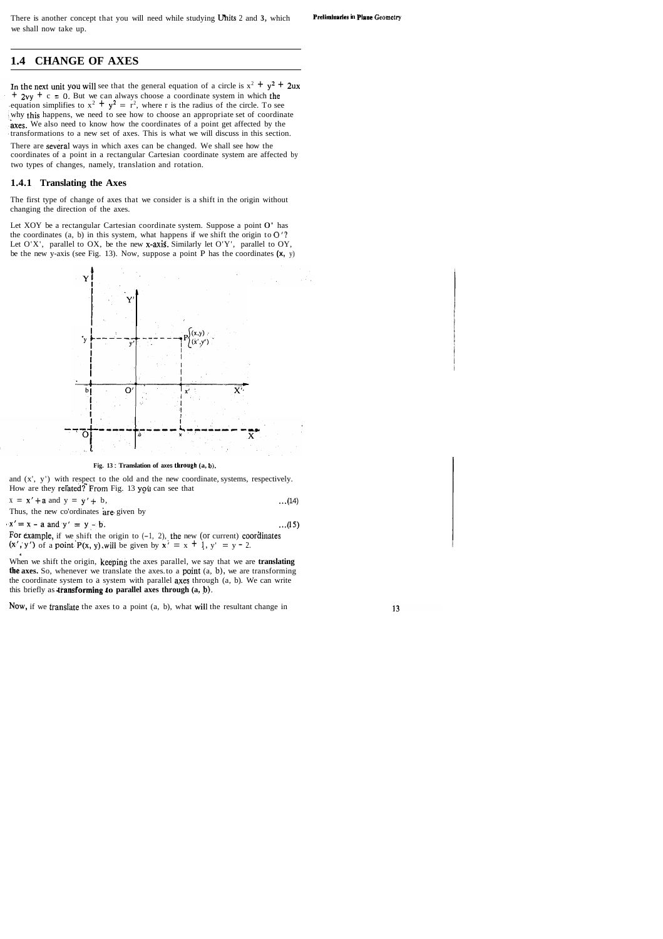## **1.4 CHANGE OF AXES**

In the next unit you will see that the general equation of a circle is  $x^2 + y^2 + 2ux$  $+ 2vy + c = 0$ . But we can always choose a coordinate system in which the equation simplifies to  $x^2 + y^2 = r^2$ , where r is the radius of the circle. To see why this happens, we need to see how to choose an appropriate set of coordinate axes. We also need to know how the coordinates of a point get affected by the transformations to a new set of axes. This is what we will discuss in this section.

There are several ways in which axes can be changed. We shall see how the coordinates of a point in a rectangular Cartesian coordinate system are affected by two types of changes, namely, translation and rotation.

Let XOY be a rectangular Cartesian coordinate system. Suppose a point O' has the coordinates  $(a, b)$  in this system, what happens if we shift the origin to  $O'$ ? Let  $O'X'$ , parallel to  $OX$ , be the new x-axis. Similarly let  $O'Y'$ , parallel to  $OY$ , be the new y-axis (see Fig. 13). Now, suppose a point P has the coordinates **(x,** y)



**Fig. 13 : Translation of axes through**  $(a, b)$ **.** 

and (x', y') with respect to the old and the new coordinate, systems, respectively. How are they related? From Fig. 13 you can see that

 $x = x' + a$  and  $y = y' + b$ , ...(14)

Thus, the new co'ordinates are given by

 $\mathbf{x}' = \mathbf{x} - \mathbf{a}$  and  $\mathbf{y}' = \mathbf{y} - \mathbf{b}$ . ...(15) For example, if we shift the origin to  $(-1, 2)$ , the new (or current) coordinates

 $(x', y')$  of a point  $P(x, y)$ , will be given by  $x' = x + 1$ ,  $y' = y - 2$ .

#### **1.4.1 Translating the Axes**

The first type of change of axes that we consider is a shift in the origin without changing the direction of the axes.

**4**  When we shift the origin, keeping the axes parallel, we say that we are **translating the axes.** So, whenever we translate the axes to a point (a, b), we are transforming the coordinate system to a system with parallel axes through (a, b). We can write this briefly as **dransforming to parallel axes through (a, b).** 

Now, if we translate the axes to a point  $(a, b)$ , what will the resultant change in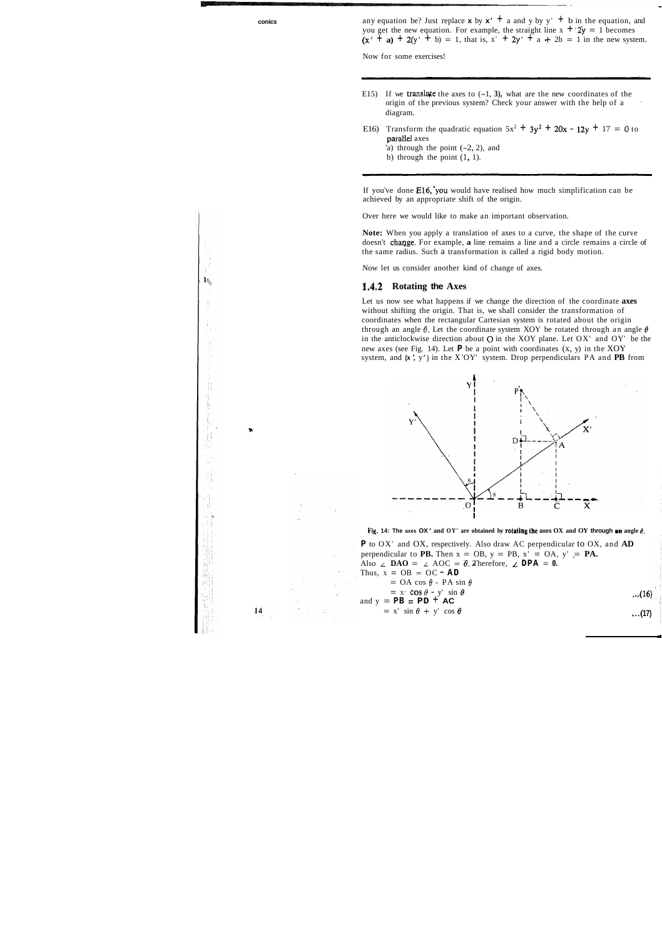**conics** any equation be? Just replace **x** by  $x' + a$  and y by y'  $+ b$  in the equation, and you get the new equation. For example, the straight line  $x + 2y = 1$  becomes  $(x' + a) + 2(y' + b) = 1$ , that is,  $x' + 2y' + a + 2b = 1$  in the new system.

Now for some exercises!

- E15) If we translate the axes to  $(-1, 3)$ , what are the new coordinates of the origin of the previous system? Check your answer with the help of a diagram.
- E16) Transform the quadratic equation  $5x^2 + 3y^2 + 20x 12y + 17 = 0$  to parallel axes
	- 'a) through the point  $(-2, 2)$ , and
	- b) through the point  $(1, 1)$ .

If you've done E16,'you would have realised how much simplification can be achieved by an appropriate shift of the origin.

Over here we would like to make an important observation.

**P** to OX' and OX, respectively. Also draw AC perpendicular to OX, and **AD**  perpendicular to **PB.** Then  $x = OB$ ,  $y = PB$ ,  $x' = OA$ ,  $y' = PA$ . Also  $\angle$  **DAO** =  $\angle$  AOC =  $\theta$ . Therefore,  $\angle$  **DPA** = 0.<br>Thus,  $x = OB = OC - AD$ Thus,  $x = OB = OC - AD$ <br>= OA cos  $\theta$  - PA sin  $\theta$  $=$  x<sup>t</sup> cos  $\theta$  - y<sup>t</sup> sin  $\theta$  ,...(16) and  $y = PB = PD + AC$  $= x' \sin \theta + y' \cos \theta$  ...(17)



机

**Note:** When you apply a translation of axes to a curve, the shape of the curve doesn't change. For example, a line remains a line and a circle remains a circle of the same radius. Such a transformation is called a rigid body motion.

Now let us consider another kind of change of axes.

#### **1.4.2 Rotating the Axes**

Let us now see what happens if we change the direction of the coordinate **axes**  without shifting the origin. That is, we shall consider the transformation of coordinates when the rectangular Cartesian system is rotated about the origin through an angle  $\theta$ . Let the coordinate system XOY be rotated through an angle  $\theta$ in the anticlockwise direction about 0 in the XOY plane. Let OX' and OY' be the new axes (see Fig. 14). Let **P** be a point with coordinates (x, y) in the XOY system, and **(x** ', <sup>y</sup>') in the X 'OY' system. Drop perpendiculars PA and **PB** from



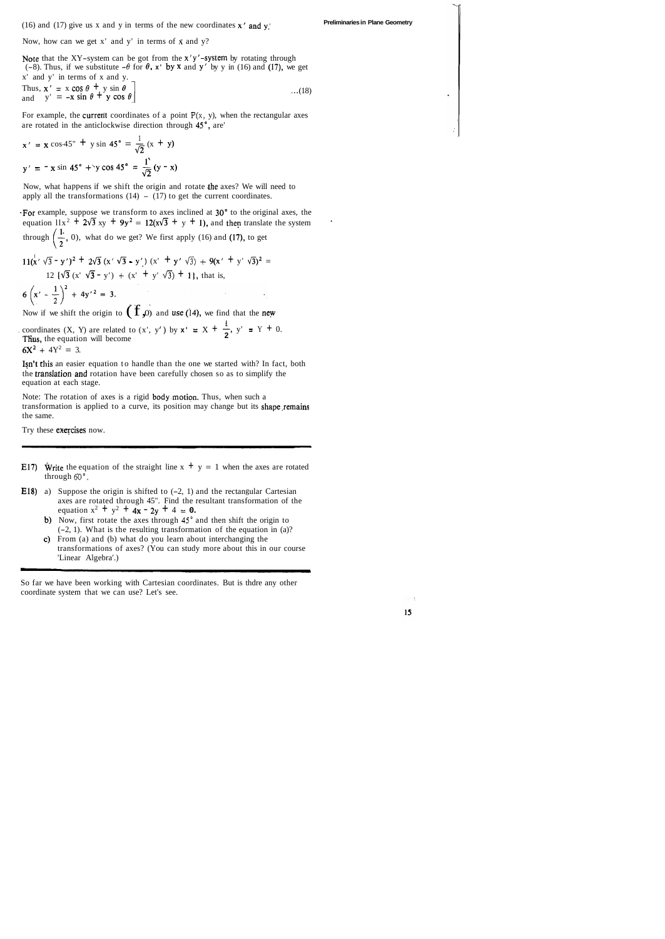(16) and (17) give us x and y in terms of the new coordinates x' and y.' **Preliminaries in Plane Geometry** 

Now, how can we get x' and y' in terms of **x** and y?

Note that the XY-system can be got from the  $x'y'$ -system by rotating through (-8). Thus, if we substitute  $-\theta$  for  $\theta$ ,  $x'$  by x and y' by y in (16) and (17), we get x' and y' in terms of x and y.

Thus, 
$$
\mathbf{x}' = \mathbf{x} \cos \theta + \mathbf{y} \sin \theta
$$
  
and  $\mathbf{y}' = -\mathbf{x} \sin \theta + \mathbf{y} \cos \theta$ ...(18)

For example, the current coordinates of a point  $P(x, y)$ , when the rectangular axes

-For example, suppose we transform to axes inclined at 30" to the original axes, the equation  $11x^2 + 2\sqrt{3} xy + 9y^2 = 12(x\sqrt{3} + y + 1)$ , and then translate the system through  $\left(\frac{1}{2}, 0\right)$ , what do we get? We first apply (16) and (17), to get

are rotated in the anticlockwise direction through 45°, are'  

$$
x' = x \cos 45^{\circ} + y \sin 45^{\circ} = \frac{1}{\sqrt{2}} (x + y)
$$
  
 $y' = -x \sin 45^{\circ} + y \cos 45^{\circ} = \frac{1}{\sqrt{2}} (y - x)$ 

Now, what happens if we shift the origin and rotate the axes? We will need to apply all the transformations  $(14) - (17)$  to get the current coordinates.

**I 1**  Now if we shift the origin to  $(T, \rho)$  and use (14), we find that the new coordinates  $(X, Y)$  are related to  $(x', y')$  by  $x' = X + \frac{1}{2}$ ,  $y' = Y + 0$ .<br>Thus, the equation will become  $6X^2 + 4Y^2 = 3$ .

$$
11(x' \sqrt{3} - y')^{2} + 2\sqrt{3}(x' \sqrt{3} - y') (x' + y' \sqrt{3}) + 9(x' + y' \sqrt{3})^{2} =
$$
  
12 { $\sqrt{3}(x' \sqrt{3} - y') + (x' + y' \sqrt{3}) + 1$ }, that is,

 $6\left(x' - \frac{1}{2}\right)^2 + 4y'^2 = 3.$ <br>Now if we shift the origin to  $(1, 0)$  and use (14), we find that the new

- **E17)** Write the equation of the straight line  $x + y = 1$  when the axes are rotated through **60".**
- **E18)** a) Suppose the origin is shifted to  $(-2, 1)$  and the rectangular Cartesian axes are rotated through 45". Find the resultant transformation of the equation  $x^2 + y^2 + 4x - 2y + 4 = 0$ .
	- b) Now, first rotate the axes through **45"** and then shift the origin to (-2, 1). What is the resulting transformation of the equation in (a)?
	- c) From (a) and (b) what do you learn about interchanging the transformations of axes? (You can study more about this in our course 'Linear Algebra'.)

Isn't this an easier equation to handle than the one we started with? In fact, both the translation.and rotation have been carefully chosen so as to simplify the equation at each stage.

Note: The rotation of axes is a rigid body.motion. Thus, when such a transformation is applied to a curve, its position may change but its shape remains the same.

Try these exercises now.

So far we have been working with Cartesian coordinates. But is thdre any other coordinate system that we can use? Let's see.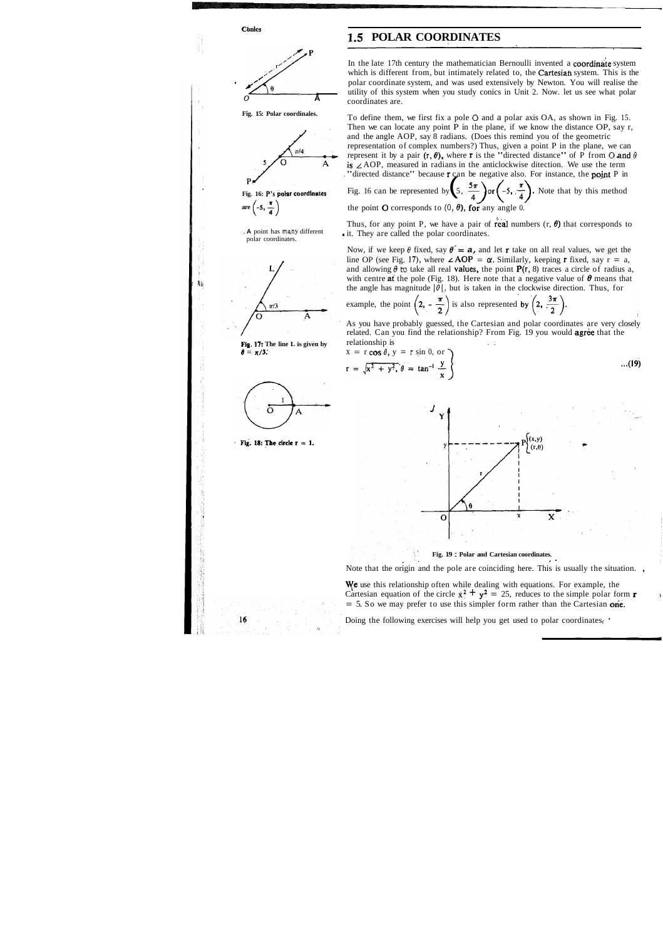

To define them, we first fix a pole 0 and a polar axis OA, as shown in Fig. 15. Then we can locate any point P in the plane, if we know the distance OP, say r, and the angle AOP, say 8 radians. (Does this remind you of the geometric representation of complex numbers?) Thus, given a point P in the plane, we can represent it by a pair  $(r, \theta)$ , where r is the "directed distance" of P from O and  $\theta$ is  $\angle AOP$ , measured in radians in the anticlockwise ditection. We use the term . "directed distance" because  $\mathbf{r}$  can be negative also. For instance, the **point** P in

 $16$ 

A is

**1.5 POLAR COORDINATES**<br> **P**<br>
In the late 17th century the mathematician Bernoulli invented a coordinate system<br>
which is different from, but intimately related to, the Cartesian system. This is the<br>
polar coordinate syste which is different from, but intimately related to, the **Cartesiah** system. This is the polar coordinate system, and was used extensively by Newton. You will realise the utility of this system when you study conics in Unit 2. Now. let us see what polar coordinates are.

> Thus, for any point P, we have a pair of real numbers  $(r, \theta)$  that corresponds to . it. They are called the polar coordinates.

Now, if we keep  $\theta$  fixed, say  $\theta = a$ , and let **r** take on all real values, we get the line OP (see Fig. 17), where  $\angle AOP = \alpha$ . Similarly, keeping **r** fixed, say  $\overline{r} = a$ , and allowing  $\theta$  **to** take all real **values**, the point **P(r, 8)** traces a circle of radius a, with centre at the pole (Fig. 18). Here note that a negative value of  $\theta$  means that the angle has magnitude  $|\theta|$ , but is taken in the clockwise direction. Thus, for

As you have probably guessed, the Cartesian and polar coordinates are very closely related. Can you find the relationship? From Fig. 19 you would **agree** that the

**ye** use this relationship often while dealing with equations. For example, the Cartesian equation of the circle  $x^2 + y^2 = 25$ , reduces to the simple polar form **r**  $= 5$ . So we may prefer to use this simpler form rather than the Cartesian one.

Doing the following exercises will help you get used to polar coordinatesr '

is 
$$
\angle
$$
 AOP, measured in radians in the anticlockwise direction. We use the term  
"directed distance" because **r** can be negative also. For instance, the **point** P in  
Fig. 16 can be represented by  $\left(5, \frac{5\pi}{4}\right)$  or  $\left(-5, \frac{\pi}{4}\right)$ . Note that by this method  
the point **O** corresponds to (0, **f**) for any angle 0.

the point **O** corresponds to  $(0, \theta)$ , for any angle 0.

example, the point 
$$
\left(2, -\frac{\pi}{2}\right)
$$
 is also represented by  $\left(2, \frac{3\pi}{2}\right)$ .

relationship is  
\n
$$
x = r \cos \theta, y = r \sin 0, \text{ or}
$$
  
\n $r = \sqrt{x^2 + y^2}, \theta = \tan^{-1} \frac{y}{x}$ ...(19)



**Fig. 19 : Polar and Cartesian coordinates.** 

Note that the origin and the pole are coinciding here. This is usually the situation. ,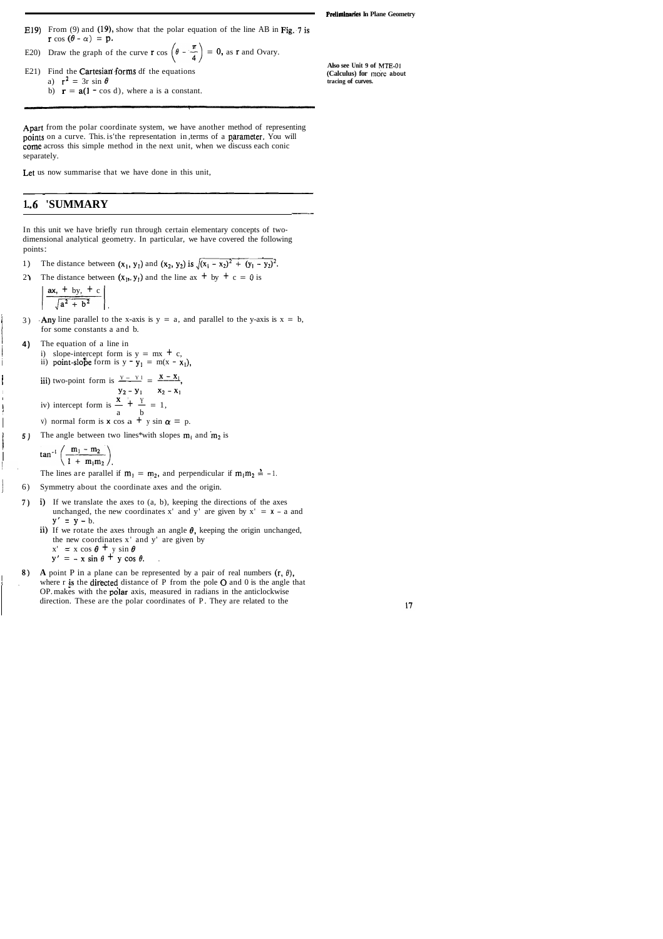- -

E19) From (9) and (19), show that the polar equation of the line AB in Fig..7 is  $r \cos (\theta - \alpha) = p$ .

E20) Draw the graph of the curve 
$$
\mathbf{r} \cos \left( \theta - \frac{\pi}{4} \right) = 0
$$
, as  $\mathbf{r}$  and Ovary.

E21) Find the Cartesian forms df the equations a)  $r^2 = 3r \sin \theta$ b)  $\mathbf{r} = \mathbf{a}(\mathbf{l} - \cos d)$ , where a is a constant.

**(Calculus)** for more about **tracing of curves.** 

**Also see Unit 9 of MTE-01** 

Apart from the polar coordinate system, we have another method of representing points on a curve. This. is'the representation in, terms of a parameter. You will come across this simple method in the next unit, when we discuss each conic separately.

Let us now summarise that we have done in this unit,

-- -

## **1. .6 'SUMMARY**

In this unit we have briefly run through certain elementary concepts of twodimensional analytical geometry. In particular, we have covered the following points :

- 1) The distance between  $(x_1, y_1)$  and  $(x_2, y_2)$  is  $\sqrt{(x_1 x_2)^2 + (y_1 y_2)^2}$ .<br>
2) The distance between  $(x_1, y_1)$  and the line ax  $+$  by  $+$  c = 0 is
- The distance between  $(x_1, y_1)$  and the line ax  $+$  by  $+$  c = 0 is

$$
\frac{ax, + by, + c}{\sqrt{a^2 + b^2}}
$$

- 3) Any line parallel to the x-axis is  $y = a$ , and parallel to the y-axis is  $x = b$ , In for some constants a and b.<br> **4** The equation of a line in
- **4)** The equation of a line in
	- i) slope-intercept form is  $y = mx + c$ , ii) point-slobe form is  $y - y_1 = m(x - x_1)$ ,

iii) two-point form is  $\frac{Y - Y}{Y} = \frac{X - X_1}{Y}$ . 3) Any line parallel to the x-axis is  $y = a$ , a<br>for some constants a and b.<br>4) The equation of a line in<br>i) slope-intercept form is  $y = mx + c$ ,<br>ii) point-slope form is  $y - y_1 = m(x - x_1)$ <br>iii) two-point form is  $\frac{x - y_1}{y_2 - y_1} =$ v) normal form is **x** cos  $a + y \sin \alpha = p$ .

5) The angle between two lines\*with slopes  $m_1$  and  $m_2$  is

$$
\tan^{-1}\left(\frac{m_1 - m_2}{1 + m_1 m_2}\right)
$$

- 6) Symmetry about the coordinate axes and the origin.
- **7)** i) If we translate the axes to (a, b), keeping the directions of the axes unchanged, the new coordinates x' and  $\bar{y}'$  are given by  $x' = x - a$  and  $y' = y - b$ .
	- ii) If we rotate the axes through an angle  $\theta$ , keeping the origin unchanged, the new coordinates x' and y' are given by  $x' = x \cos \theta + y \sin \theta$ 
		- $y' = -x \sin \theta + y \cos \theta$ .
- **8) A** point P in a plane can be represented by a pair of real numbers  $(r, \theta)$ , where  $r$  is the directed distance of P from the pole  $O$  and  $0$  is the angle that OP. makes with the polar axis, measured in radians in the anticlockwise direction. These are the polar coordinates of P. They are related to the

I I

!.

The lines are parallel if  $m_1 = m_2$ , and perpendicular if  $m_1m_2 = -1$ .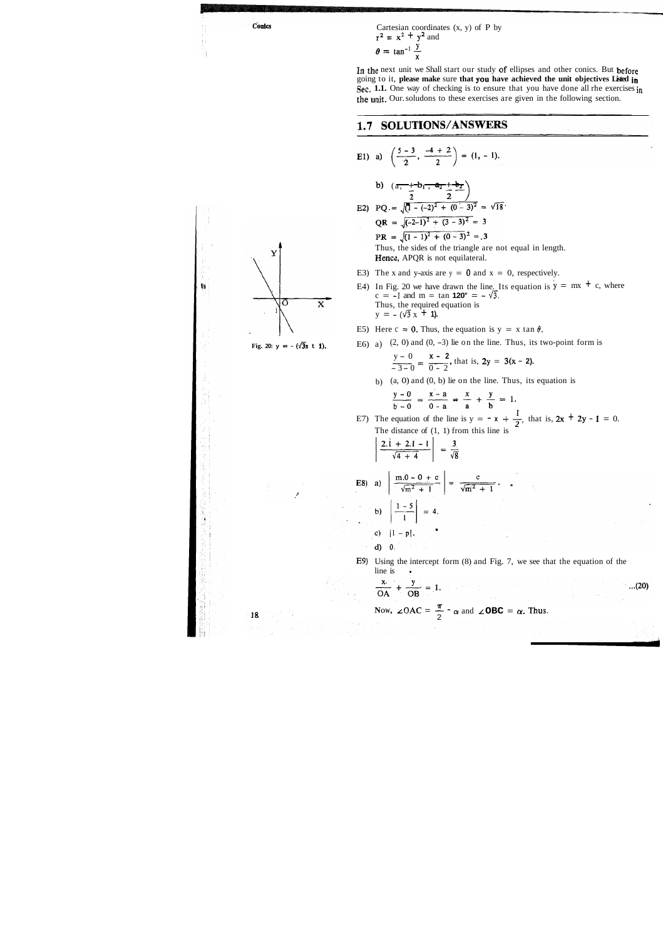Conics

 $\mathbf Y$ 

 $\overline{O}$ 

 $\mathbf{u}$ 

Cartesian coordinates  $(x, y)$  of P by  $x^2 = x^2 + y^2$  and  $=$  tan<sup>-1</sup>  $\frac{y}{x}$ 

**In** the next unit we Shall start our study of ellipses and other conics. But before going to it, **please make** sure **that you have achieved the unit objectives Listed in Sec. 1.1.** One way of checking is to ensure that you have done all rhe exercises in the unit. Our. soludons to these exercises are given in the following section.

# 1.7 SOLUTIONS/ANSWERS

E1) a) 
$$
\left(\frac{5-3}{2}, \frac{-4+2}{2}\right) = (1, -1)
$$
.  
\nb)  $\left(\frac{\pi}{1} - \frac{1}{2}, \frac{\pi}{1} - \frac{1}{2}\right)$   
\nE2) PQ. =  $\sqrt{(1 - (-2)^2 + (0 - 3)^2} = \sqrt{18}$ .  
\nQR =  $\sqrt{(-2-1)^2 + (3-3)^2} = 3$   
\nPR =  $\sqrt{(1 - 1)^2 + (0 - 3)^2} = 3$   
\nThus, the sides of the triangle are not equal in length.  
\nHence, APQR is not equilateral.  
\nE3) The x and y-axis are y = 0 and x = 0, respectively.  
\nE4) In Fig. 20 we have drawn the line. Its equation is  $y = mx + c$ , where  $c = 1$  and  $m = tan 100^m = \sqrt{3}$ .  
\nThus, the equation is  $y = x \tan \theta$ .  
\nThus, the equation is  $y = x \tan \theta$ .  
\nFig. 20. y = - $(\sqrt{3}x + 1)$ .  
\nE5) Here  $c = 0$ . Thus, the equation is  $y = x \tan \theta$ .  
\nFig. 20. y = - $(\sqrt{3}x + 1)$ .  
\nE6) a) (2, 0) and (0, -3) lie on the line. Thus, its two-point form is  $\frac{y - 0}{3 - 0} = \frac{x - 2}{0 - 2}$ , that is,  $2y = 3(x - 2)$ .  
\nb) (a, 0) and (0, b) lie on the line. Thus, its equation is  $\frac{y - 0}{y - 0} = \frac{x - a}{x - a} = \frac{x}{a} + \frac{y}{b} = 1$ .  
\nE7) The equation of the line is  $y = -x + \frac{1}{2}$ , that is,  $2x + 2y - 1 = 0$ .  
\nThe distance of (1, 1) from this line is  $\frac{y - 0}{\sqrt{m^2 + 1}} = \frac{3}{\sqrt{8}}$   
\nE8) a)  $\left| \frac{m(0 - 0) + c}{\sqrt{m^2 + 1}} \right| = \frac{3}{\sqrt{m^2 + 1}}$ .  
\nb)  $\left| \frac{1 - 5}{1 - 1} \right|$ 

 $...(20)$ 

$$
\left\| \left( 18 \right) \right\|_{\mathbb{R}^2} \leq \left\| \left( 1 \right) \right\|_{\mathbb{R}^2}
$$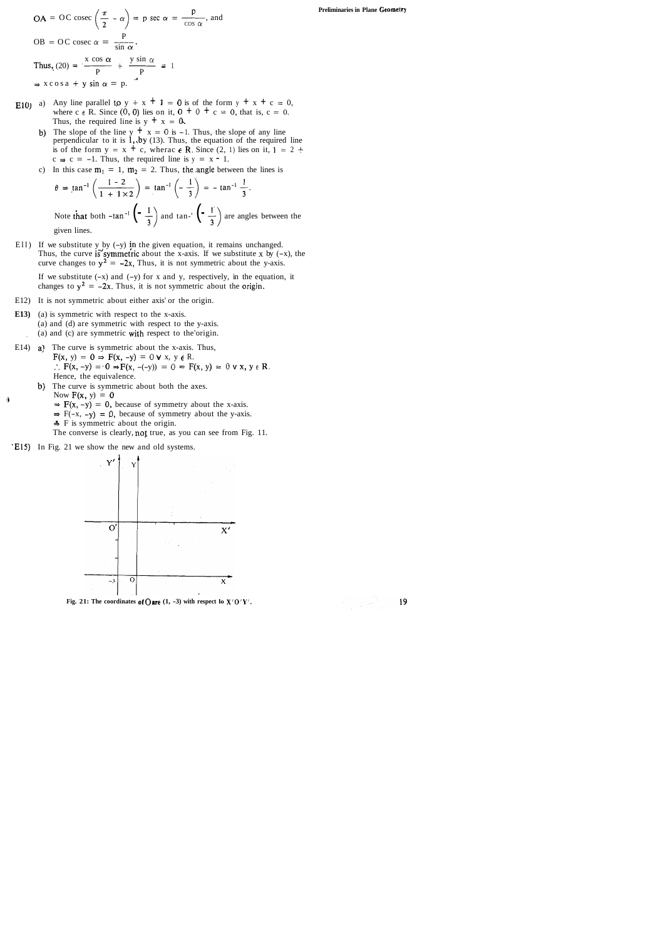$$
OA = OC \csc\left(\frac{\pi}{2} - \alpha\right) = p \sec \alpha = \frac{p}{\cos \alpha}, \text{ and}
$$
  

$$
OB = OC \csc \alpha = \frac{p}{\sin \alpha}.
$$
  
Thus, 
$$
(20) = \frac{x \cos \alpha}{p} + \frac{y \sin \alpha}{p} = 1
$$
  

$$
\Rightarrow x \cos a + y \sin \alpha = p.
$$

- E10) a) Any line parallel to  $y + x + 1 = 0$  is of the form  $y + x + c = 0$ , where c  $\epsilon$  **R**. Since (0, 0) lies on it,  $0 + 0 + c = 0$ , that is, c = 0. Thus, the required line is  $y + x = 0$ .
	- b) The slope of the line  $y + x = 0$  is -1. Thus, the slope of any line perpendicular to it is  $1,$  by (13). Thus, the equation of the required line is of the form  $y = x + c$ , wherac  $\epsilon$  **R**. Since (2, 1) lies on it,  $1 = 2 +$  $c \Rightarrow c = -1$ . Thus, the required line is  $y = x - 1$ .
	- c) In this case  $m_1 = 1$ ,  $m_2 = 2$ . Thus, the angle between the lines is

Ell) If we substitute y by (-y) jn the given equation, it remains unchanged. Thus, the curve is symmetric about the x-axis. If we substitute  $x$  by  $(-x)$ , the curve changes to  $y^2 = -2x$ , Thus, it is not symmetric about the y-axis.

If we substitute  $(-x)$  and  $(-y)$  for x and y, respectively, in the equation, it changes to  $y^2 = -2x$ . Thus, it is not symmetric about the origin.

$$
\theta = \tan^{-1}\left(\frac{1-2}{1+1\times2}\right) = \tan^{-1}\left(-\frac{1}{3}\right) = -\tan^{-1}\frac{1}{3}.
$$
  
Note that both  $-\tan^{-1}\left(-\frac{1}{3}\right)$  and  $\tan^{-1}\left(-\frac{1}{3}\right)$  are angles between the given lines.

- E12) It is not symmetric about either axis' or the origin.
- **E13)** (a) is symmetric with respect to the x-axis. (a) and (d) are symmetric with respect to the y-axis. , (a) and (c) are symmetric with respect to the'origin.
- E14) a) The curve is symmetric about the x-axis. Thus,  $F(x, y) = 0 \Rightarrow F(x, -y) = 0 \forall x, y \in R$ . ..  $F(x, -y) = 0 \Rightarrow F(x, -(-y)) = 0 \Rightarrow F(x, y) = 0 \lor x, y \in \mathbb{R}$ . Hence, the equivalence.
	- b) The curve is symmetric about both the axes.
- Now  $F(x, y) = 0$ <br>  $\Rightarrow F(x, -y) = 0$ , because of symmetry about the x-axis.
	- $\Rightarrow$  F(-x, -y) = 0, because of symmetry about the y-axis.
	- **3** F is symmetric about the origin.
	- The converse is clearly, not true, as you can see from Fig. 11.
- 'E15) In Fig. 21 we show the new and old systems.



Fig. 21: The coordinates of  $\bigcirc$  are (1, -3) with respect lo  $X'O'Y'$ .

19

**Preliminaries in Plane Geomelry**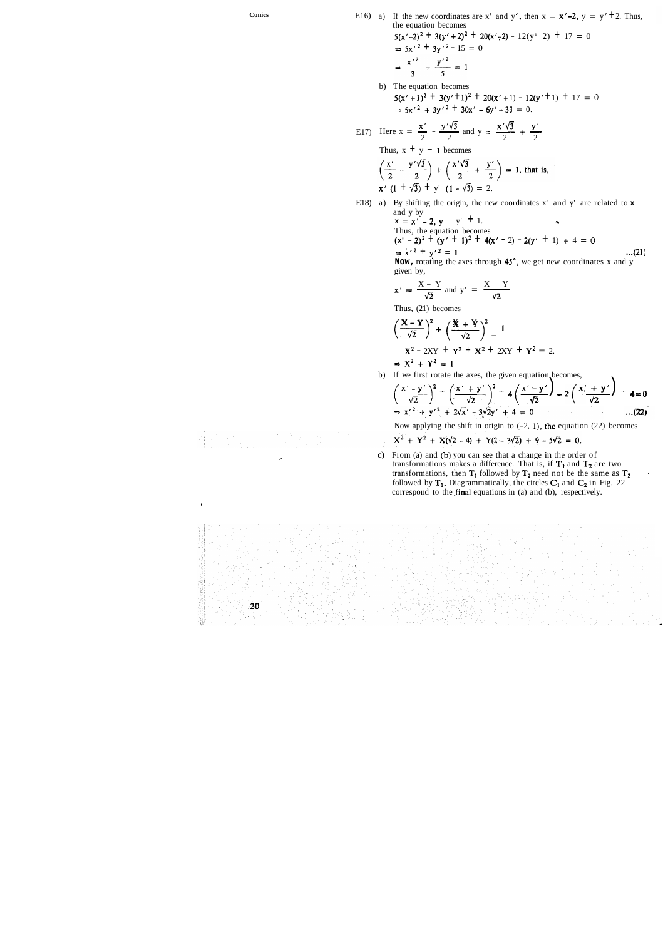Conics E16) a) If the new coordinates are x' and y', then  $x = x' - 2$ ,  $y = y' + 2$ . Thus, the equation becomes  $= 0$ 

> b) The equation becomes  $5(x'+1)^2 + 3(y'+1)^2 + 20(x'+1) - 12(y'+1) + 17 = 0$  $\Rightarrow$  5x<sup>2</sup> + 3y<sup>2</sup> + 30x<sup>2</sup> - 6y<sup>2</sup> + 33 = 0.

$$
5(x'-2)^2 + 3(y'+2)^2 + 20(x'-2) - 12(y'+2) + 17
$$
  
\n
$$
\Rightarrow 5x'^2 + 3y'^2 - 15 = 0
$$
  
\n
$$
\Rightarrow \frac{x'^2}{3} + \frac{y'^2}{5} = 1
$$

b) The equation becomes  
\n
$$
5(x'+1)^2 + 3(y'+1)^2 + 20(x'+1) - 12(y'+1) +
$$
  
\n $\Rightarrow 5x'^2 + 3y'^2 + 30x' - 6y'+33 = 0.$   
\nE17) Here  $x = \frac{x'}{2} - \frac{y'\sqrt{3}}{2}$  and  $y = \frac{x'\sqrt{3}}{2} + \frac{y'}{2}$   
\nThus,  $x + y = 1$  becomes  
\n $\left(\frac{x'}{2} - \frac{y'\sqrt{3}}{2}\right) + \left(\frac{x'\sqrt{3}}{2} + \frac{y'}{2}\right) = 1$ , that is,  
\n $x'(1 + \sqrt{3}) + y'(1 - \sqrt{3}) = 2.$ 

E18) a) By shifting the origin, the new coordinates x' and y' are related to **x**  and y by

and y by  
\n
$$
\mathbf{x} = \mathbf{x}' - 2
$$
,  $\mathbf{y} = y' + 1$ .  
\nThus, the equation becomes  
\n $(\mathbf{x}' - 2)^2 + (\mathbf{y}' + 1)^2 + 4(\mathbf{x}' - 2) - 2(\mathbf{y}' + 1) + 4 = 0$   
\n $\Rightarrow \mathbf{x}'^2 + \mathbf{y}'^2 = 1$  ...(21)  
\nNow, rotating the axes through 45°, we get new coordinates x and y  
\ngiven by,  
\n $\mathbf{x}' = \frac{X - Y}{\sqrt{2}}$  and  $\mathbf{y}' = \frac{X + Y}{\sqrt{2}}$   
\nThus, (21) becomes

**Now,** rotating the axes through 45", we get new coordinates x and y given by,

$$
x' = \frac{X - Y}{\sqrt{2}}
$$
 and  $y' = \frac{X + Y}{\sqrt{2}}$ 

Thus, (21) becomes

Thus, (21) becomes  
\n
$$
\left(\frac{X-Y}{\sqrt{2}}\right)^2 + \left(\frac{X+Y}{\sqrt{2}}\right)^2 = 1
$$
\n
$$
X^2 - 2XY + Y^2 + X^2 + 2XY + Y^2 = 2.
$$
\n
$$
\Rightarrow X^2 + Y^2 = 1
$$

b) If we first rotate the axes, the given equation becomes,

$$
\left(\frac{x'-y'}{\sqrt{2}}\right)^2 - \left(\frac{x'+y'}{\sqrt{2}}\right)^2 - 4\left(\frac{x'-y'}{\sqrt{2}}\right) - 2\left(\frac{x'+y'}{\sqrt{2}}\right) - 4 = 0
$$
  
\n
$$
\Rightarrow x'^2 + y'^2 + 2\sqrt{x'} - 3\sqrt{2}y' + 4 = 0
$$
...(22)

Now applying the shift in origin to  $(-2, 1)$ , the equation  $(22)$  becomes

$$
X^2 + Y^2 + X(\sqrt{2} - 4) + Y(2 - 3\sqrt{2}) + 9 - 5\sqrt{2} = 0.
$$

c) From (a) and (b) you can see that a change in the order of transformations makes a difference. That is, if  $T_1$  and  $T_2$  are two transformations, then  $T_1$  followed by  $T_2$  need not be the same as  $T_2$ . followed by  $T_1$ . Diagrammatically, the circles  $C_1$  and  $C_2$  in Fig. 22 correspond to the **final** equations in (a) and (b), respectively.



Ĵ₩